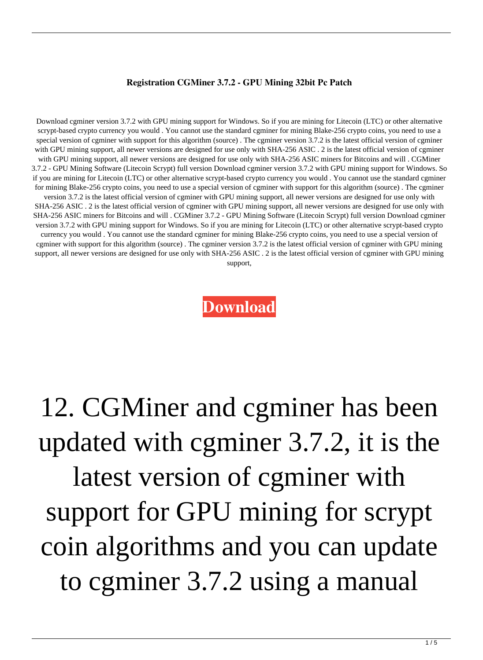## **Registration CGMiner 3.7.2 - GPU Mining 32bit Pc Patch**

Download cgminer version 3.7.2 with GPU mining support for Windows. So if you are mining for Litecoin (LTC) or other alternative scrypt-based crypto currency you would . You cannot use the standard cgminer for mining Blake-256 crypto coins, you need to use a special version of cgminer with support for this algorithm (source) . The cgminer version 3.7.2 is the latest official version of cgminer with GPU mining support, all newer versions are designed for use only with SHA-256 ASIC . 2 is the latest official version of cgminer with GPU mining support, all newer versions are designed for use only with SHA-256 ASIC miners for Bitcoins and will . CGMiner 3.7.2 - GPU Mining Software (Litecoin Scrypt) full version Download cgminer version 3.7.2 with GPU mining support for Windows. So if you are mining for Litecoin (LTC) or other alternative scrypt-based crypto currency you would . You cannot use the standard cgminer for mining Blake-256 crypto coins, you need to use a special version of cgminer with support for this algorithm (source) . The cgminer version 3.7.2 is the latest official version of cgminer with GPU mining support, all newer versions are designed for use only with SHA-256 ASIC . 2 is the latest official version of cgminer with GPU mining support, all newer versions are designed for use only with SHA-256 ASIC miners for Bitcoins and will . CGMiner 3.7.2 - GPU Mining Software (Litecoin Scrypt) full version Download cgminer version 3.7.2 with GPU mining support for Windows. So if you are mining for Litecoin (LTC) or other alternative scrypt-based crypto currency you would . You cannot use the standard cgminer for mining Blake-256 crypto coins, you need to use a special version of cgminer with support for this algorithm (source) . The cgminer version 3.7.2 is the latest official version of cgminer with GPU mining support, all newer versions are designed for use only with SHA-256 ASIC . 2 is the latest official version of cgminer with GPU mining support,



## 12. CGMiner and cgminer has been updated with cgminer 3.7.2, it is the latest version of cgminer with support for GPU mining for scrypt coin algorithms and you can update to cgminer 3.7.2 using a manual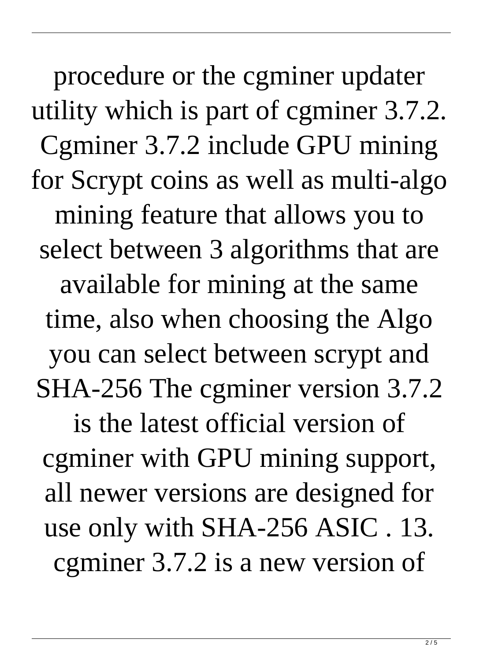procedure or the cgminer updater utility which is part of cgminer 3.7.2. Cgminer 3.7.2 include GPU mining for Scrypt coins as well as multi-algo mining feature that allows you to select between 3 algorithms that are available for mining at the same time, also when choosing the Algo you can select between scrypt and SHA-256 The cgminer version 3.7.2 is the latest official version of cgminer with GPU mining support, all newer versions are designed for use only with SHA-256 ASIC . 13. cgminer 3.7.2 is a new version of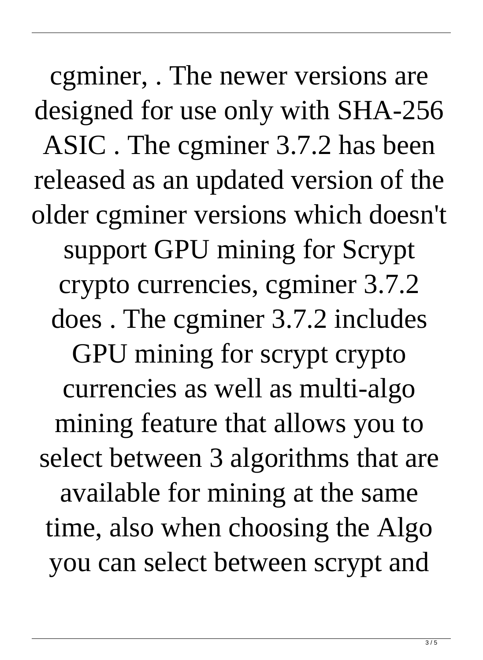cgminer, . The newer versions are designed for use only with SHA-256 ASIC . The cgminer 3.7.2 has been released as an updated version of the older cgminer versions which doesn't support GPU mining for Scrypt crypto currencies, cgminer 3.7.2 does . The cgminer 3.7.2 includes GPU mining for scrypt crypto currencies as well as multi-algo mining feature that allows you to select between 3 algorithms that are available for mining at the same time, also when choosing the Algo you can select between scrypt and